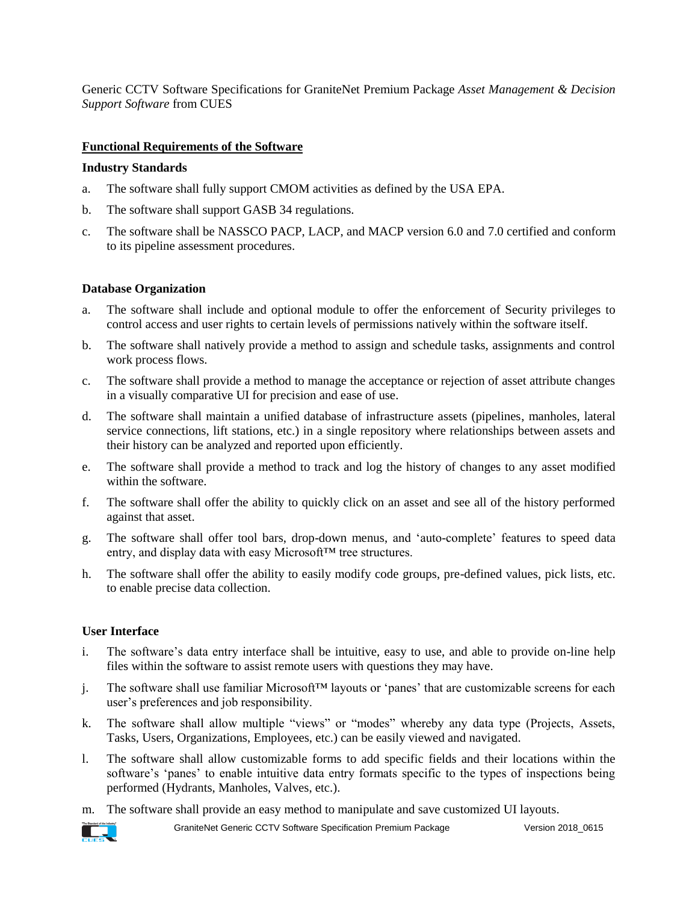Generic CCTV Software Specifications for GraniteNet Premium Package *Asset Management & Decision Support Software* from CUES

## **Functional Requirements of the Software**

#### **Industry Standards**

- a. The software shall fully support CMOM activities as defined by the USA EPA.
- b. The software shall support GASB 34 regulations.
- c. The software shall be NASSCO PACP, LACP, and MACP version 6.0 and 7.0 certified and conform to its pipeline assessment procedures.

### **Database Organization**

- a. The software shall include and optional module to offer the enforcement of Security privileges to control access and user rights to certain levels of permissions natively within the software itself.
- b. The software shall natively provide a method to assign and schedule tasks, assignments and control work process flows.
- c. The software shall provide a method to manage the acceptance or rejection of asset attribute changes in a visually comparative UI for precision and ease of use.
- d. The software shall maintain a unified database of infrastructure assets (pipelines, manholes, lateral service connections, lift stations, etc.) in a single repository where relationships between assets and their history can be analyzed and reported upon efficiently.
- e. The software shall provide a method to track and log the history of changes to any asset modified within the software.
- f. The software shall offer the ability to quickly click on an asset and see all of the history performed against that asset.
- g. The software shall offer tool bars, drop-down menus, and 'auto-complete' features to speed data entry, and display data with easy Microsoft™ tree structures.
- h. The software shall offer the ability to easily modify code groups, pre-defined values, pick lists, etc. to enable precise data collection.

### **User Interface**

- i. The software's data entry interface shall be intuitive, easy to use, and able to provide on-line help files within the software to assist remote users with questions they may have.
- j. The software shall use familiar Microsoft™ layouts or 'panes' that are customizable screens for each user's preferences and job responsibility.
- k. The software shall allow multiple "views" or "modes" whereby any data type (Projects, Assets, Tasks, Users, Organizations, Employees, etc.) can be easily viewed and navigated.
- l. The software shall allow customizable forms to add specific fields and their locations within the software's 'panes' to enable intuitive data entry formats specific to the types of inspections being performed (Hydrants, Manholes, Valves, etc.).
- m. The software shall provide an easy method to manipulate and save customized UI layouts.

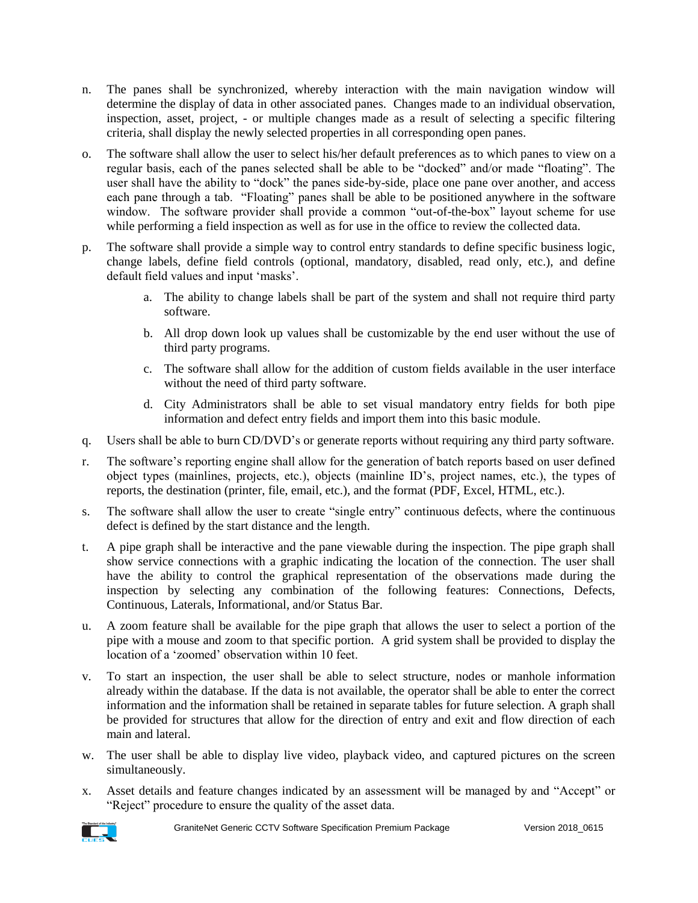- n. The panes shall be synchronized, whereby interaction with the main navigation window will determine the display of data in other associated panes. Changes made to an individual observation, inspection, asset, project, - or multiple changes made as a result of selecting a specific filtering criteria, shall display the newly selected properties in all corresponding open panes.
- o. The software shall allow the user to select his/her default preferences as to which panes to view on a regular basis, each of the panes selected shall be able to be "docked" and/or made "floating". The user shall have the ability to "dock" the panes side-by-side, place one pane over another, and access each pane through a tab. "Floating" panes shall be able to be positioned anywhere in the software window. The software provider shall provide a common "out-of-the-box" layout scheme for use while performing a field inspection as well as for use in the office to review the collected data.
- p. The software shall provide a simple way to control entry standards to define specific business logic, change labels, define field controls (optional, mandatory, disabled, read only, etc.), and define default field values and input 'masks'.
	- a. The ability to change labels shall be part of the system and shall not require third party software.
	- b. All drop down look up values shall be customizable by the end user without the use of third party programs.
	- c. The software shall allow for the addition of custom fields available in the user interface without the need of third party software.
	- d. City Administrators shall be able to set visual mandatory entry fields for both pipe information and defect entry fields and import them into this basic module.
- q. Users shall be able to burn CD/DVD's or generate reports without requiring any third party software.
- r. The software's reporting engine shall allow for the generation of batch reports based on user defined object types (mainlines, projects, etc.), objects (mainline ID's, project names, etc.), the types of reports, the destination (printer, file, email, etc.), and the format (PDF, Excel, HTML, etc.).
- s. The software shall allow the user to create "single entry" continuous defects, where the continuous defect is defined by the start distance and the length.
- t. A pipe graph shall be interactive and the pane viewable during the inspection. The pipe graph shall show service connections with a graphic indicating the location of the connection. The user shall have the ability to control the graphical representation of the observations made during the inspection by selecting any combination of the following features: Connections, Defects, Continuous, Laterals, Informational, and/or Status Bar.
- u. A zoom feature shall be available for the pipe graph that allows the user to select a portion of the pipe with a mouse and zoom to that specific portion. A grid system shall be provided to display the location of a 'zoomed' observation within 10 feet.
- v. To start an inspection, the user shall be able to select structure, nodes or manhole information already within the database. If the data is not available, the operator shall be able to enter the correct information and the information shall be retained in separate tables for future selection. A graph shall be provided for structures that allow for the direction of entry and exit and flow direction of each main and lateral.
- w. The user shall be able to display live video, playback video, and captured pictures on the screen simultaneously.
- x. Asset details and feature changes indicated by an assessment will be managed by and "Accept" or "Reject" procedure to ensure the quality of the asset data.

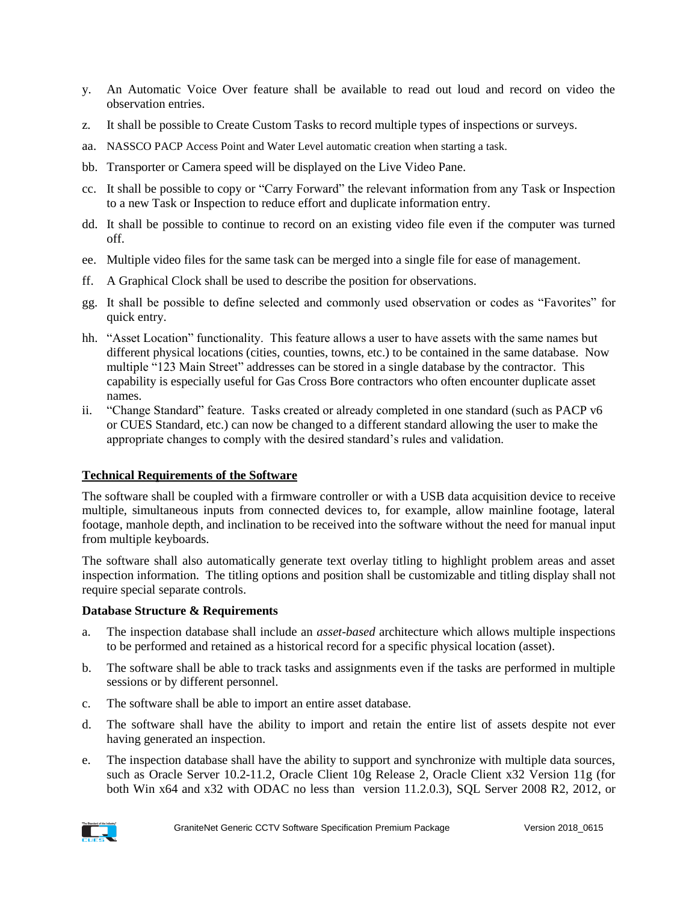- y. An Automatic Voice Over feature shall be available to read out loud and record on video the observation entries.
- z. It shall be possible to Create Custom Tasks to record multiple types of inspections or surveys.
- aa. NASSCO PACP Access Point and Water Level automatic creation when starting a task.
- bb. Transporter or Camera speed will be displayed on the Live Video Pane.
- cc. It shall be possible to copy or "Carry Forward" the relevant information from any Task or Inspection to a new Task or Inspection to reduce effort and duplicate information entry.
- dd. It shall be possible to continue to record on an existing video file even if the computer was turned off.
- ee. Multiple video files for the same task can be merged into a single file for ease of management.
- ff. A Graphical Clock shall be used to describe the position for observations.
- gg. It shall be possible to define selected and commonly used observation or codes as "Favorites" for quick entry.
- hh. "Asset Location" functionality. This feature allows a user to have assets with the same names but different physical locations (cities, counties, towns, etc.) to be contained in the same database. Now multiple "123 Main Street" addresses can be stored in a single database by the contractor. This capability is especially useful for Gas Cross Bore contractors who often encounter duplicate asset names.
- ii. "Change Standard" feature. Tasks created or already completed in one standard (such as PACP v6 or CUES Standard, etc.) can now be changed to a different standard allowing the user to make the appropriate changes to comply with the desired standard's rules and validation.

## **Technical Requirements of the Software**

The software shall be coupled with a firmware controller or with a USB data acquisition device to receive multiple, simultaneous inputs from connected devices to, for example, allow mainline footage, lateral footage, manhole depth, and inclination to be received into the software without the need for manual input from multiple keyboards.

The software shall also automatically generate text overlay titling to highlight problem areas and asset inspection information. The titling options and position shall be customizable and titling display shall not require special separate controls.

### **Database Structure & Requirements**

- a. The inspection database shall include an *asset-based* architecture which allows multiple inspections to be performed and retained as a historical record for a specific physical location (asset).
- b. The software shall be able to track tasks and assignments even if the tasks are performed in multiple sessions or by different personnel.
- c. The software shall be able to import an entire asset database.
- d. The software shall have the ability to import and retain the entire list of assets despite not ever having generated an inspection.
- e. The inspection database shall have the ability to support and synchronize with multiple data sources, such as Oracle Server 10.2-11.2, Oracle Client 10g Release 2, Oracle Client x32 Version 11g (for both Win x64 and x32 with ODAC no less than version 11.2.0.3), SQL Server 2008 R2, 2012, or

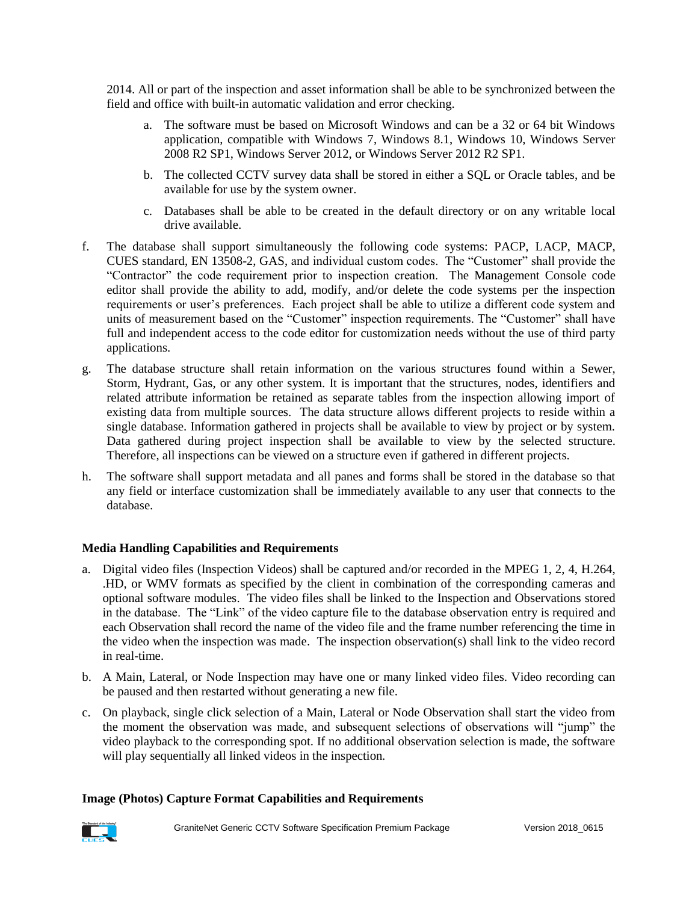2014. All or part of the inspection and asset information shall be able to be synchronized between the field and office with built-in automatic validation and error checking.

- a. The software must be based on Microsoft Windows and can be a 32 or 64 bit Windows application, compatible with Windows 7, Windows 8.1, Windows 10, Windows Server 2008 R2 SP1, Windows Server 2012, or Windows Server 2012 R2 SP1.
- b. The collected CCTV survey data shall be stored in either a SQL or Oracle tables, and be available for use by the system owner.
- c. Databases shall be able to be created in the default directory or on any writable local drive available.
- f. The database shall support simultaneously the following code systems: PACP, LACP, MACP, CUES standard, EN 13508-2, GAS, and individual custom codes. The "Customer" shall provide the "Contractor" the code requirement prior to inspection creation. The Management Console code editor shall provide the ability to add, modify, and/or delete the code systems per the inspection requirements or user's preferences. Each project shall be able to utilize a different code system and units of measurement based on the "Customer" inspection requirements. The "Customer" shall have full and independent access to the code editor for customization needs without the use of third party applications.
- g. The database structure shall retain information on the various structures found within a Sewer, Storm, Hydrant, Gas, or any other system. It is important that the structures, nodes, identifiers and related attribute information be retained as separate tables from the inspection allowing import of existing data from multiple sources. The data structure allows different projects to reside within a single database. Information gathered in projects shall be available to view by project or by system. Data gathered during project inspection shall be available to view by the selected structure. Therefore, all inspections can be viewed on a structure even if gathered in different projects.
- h. The software shall support metadata and all panes and forms shall be stored in the database so that any field or interface customization shall be immediately available to any user that connects to the database.

## **Media Handling Capabilities and Requirements**

- a. Digital video files (Inspection Videos) shall be captured and/or recorded in the MPEG 1, 2, 4, H.264, .HD, or WMV formats as specified by the client in combination of the corresponding cameras and optional software modules. The video files shall be linked to the Inspection and Observations stored in the database. The "Link" of the video capture file to the database observation entry is required and each Observation shall record the name of the video file and the frame number referencing the time in the video when the inspection was made. The inspection observation(s) shall link to the video record in real-time.
- b. A Main, Lateral, or Node Inspection may have one or many linked video files. Video recording can be paused and then restarted without generating a new file.
- c. On playback, single click selection of a Main, Lateral or Node Observation shall start the video from the moment the observation was made, and subsequent selections of observations will "jump" the video playback to the corresponding spot. If no additional observation selection is made, the software will play sequentially all linked videos in the inspection.

## **Image (Photos) Capture Format Capabilities and Requirements**

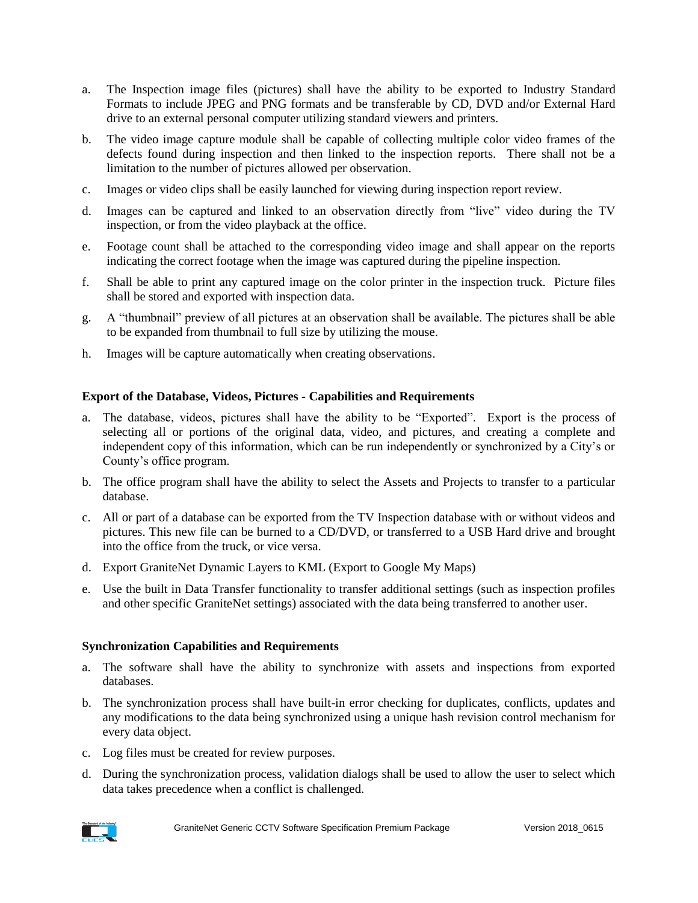- a. The Inspection image files (pictures) shall have the ability to be exported to Industry Standard Formats to include JPEG and PNG formats and be transferable by CD, DVD and/or External Hard drive to an external personal computer utilizing standard viewers and printers.
- b. The video image capture module shall be capable of collecting multiple color video frames of the defects found during inspection and then linked to the inspection reports. There shall not be a limitation to the number of pictures allowed per observation.
- c. Images or video clips shall be easily launched for viewing during inspection report review.
- d. Images can be captured and linked to an observation directly from "live" video during the TV inspection, or from the video playback at the office.
- e. Footage count shall be attached to the corresponding video image and shall appear on the reports indicating the correct footage when the image was captured during the pipeline inspection.
- f. Shall be able to print any captured image on the color printer in the inspection truck. Picture files shall be stored and exported with inspection data.
- g. A "thumbnail" preview of all pictures at an observation shall be available. The pictures shall be able to be expanded from thumbnail to full size by utilizing the mouse.
- h. Images will be capture automatically when creating observations.

## **Export of the Database, Videos, Pictures - Capabilities and Requirements**

- a. The database, videos, pictures shall have the ability to be "Exported". Export is the process of selecting all or portions of the original data, video, and pictures, and creating a complete and independent copy of this information, which can be run independently or synchronized by a City's or County's office program.
- b. The office program shall have the ability to select the Assets and Projects to transfer to a particular database.
- c. All or part of a database can be exported from the TV Inspection database with or without videos and pictures. This new file can be burned to a CD/DVD, or transferred to a USB Hard drive and brought into the office from the truck, or vice versa.
- d. Export GraniteNet Dynamic Layers to KML (Export to Google My Maps)
- e. Use the built in Data Transfer functionality to transfer additional settings (such as inspection profiles and other specific GraniteNet settings) associated with the data being transferred to another user.

### **Synchronization Capabilities and Requirements**

- a. The software shall have the ability to synchronize with assets and inspections from exported databases.
- b. The synchronization process shall have built-in error checking for duplicates, conflicts, updates and any modifications to the data being synchronized using a unique hash revision control mechanism for every data object.
- c. Log files must be created for review purposes.
- d. During the synchronization process, validation dialogs shall be used to allow the user to select which data takes precedence when a conflict is challenged.

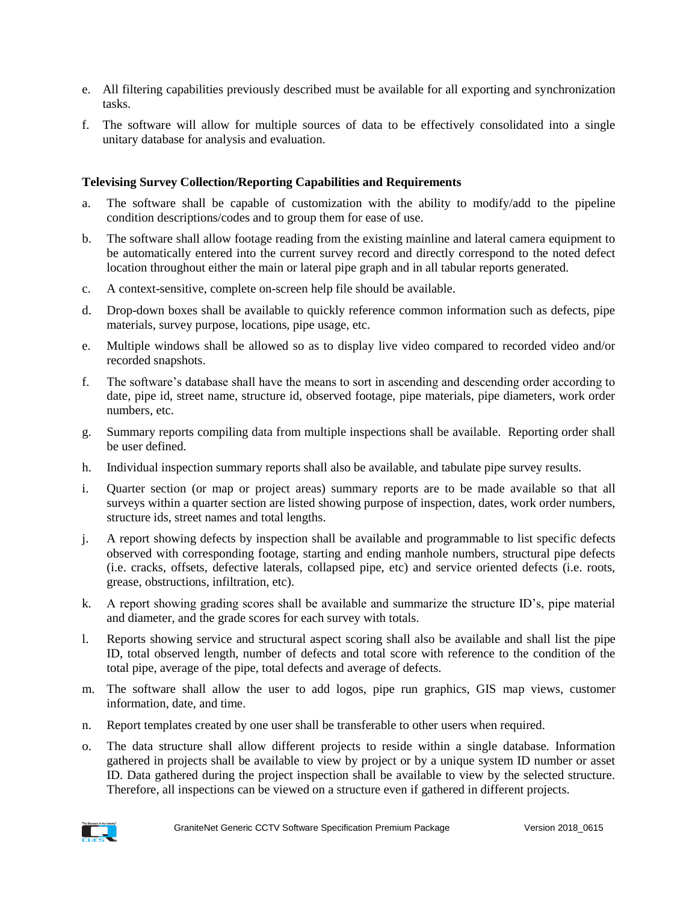- e. All filtering capabilities previously described must be available for all exporting and synchronization tasks.
- f. The software will allow for multiple sources of data to be effectively consolidated into a single unitary database for analysis and evaluation.

## **Televising Survey Collection/Reporting Capabilities and Requirements**

- a. The software shall be capable of customization with the ability to modify/add to the pipeline condition descriptions/codes and to group them for ease of use.
- b. The software shall allow footage reading from the existing mainline and lateral camera equipment to be automatically entered into the current survey record and directly correspond to the noted defect location throughout either the main or lateral pipe graph and in all tabular reports generated.
- c. A context-sensitive, complete on-screen help file should be available.
- d. Drop-down boxes shall be available to quickly reference common information such as defects, pipe materials, survey purpose, locations, pipe usage, etc.
- e. Multiple windows shall be allowed so as to display live video compared to recorded video and/or recorded snapshots.
- f. The software's database shall have the means to sort in ascending and descending order according to date, pipe id, street name, structure id, observed footage, pipe materials, pipe diameters, work order numbers, etc.
- g. Summary reports compiling data from multiple inspections shall be available. Reporting order shall be user defined.
- h. Individual inspection summary reports shall also be available, and tabulate pipe survey results.
- i. Quarter section (or map or project areas) summary reports are to be made available so that all surveys within a quarter section are listed showing purpose of inspection, dates, work order numbers, structure ids, street names and total lengths.
- j. A report showing defects by inspection shall be available and programmable to list specific defects observed with corresponding footage, starting and ending manhole numbers, structural pipe defects (i.e. cracks, offsets, defective laterals, collapsed pipe, etc) and service oriented defects (i.e. roots, grease, obstructions, infiltration, etc).
- k. A report showing grading scores shall be available and summarize the structure ID's, pipe material and diameter, and the grade scores for each survey with totals.
- l. Reports showing service and structural aspect scoring shall also be available and shall list the pipe ID, total observed length, number of defects and total score with reference to the condition of the total pipe, average of the pipe, total defects and average of defects.
- m. The software shall allow the user to add logos, pipe run graphics, GIS map views, customer information, date, and time.
- n. Report templates created by one user shall be transferable to other users when required.
- o. The data structure shall allow different projects to reside within a single database. Information gathered in projects shall be available to view by project or by a unique system ID number or asset ID. Data gathered during the project inspection shall be available to view by the selected structure. Therefore, all inspections can be viewed on a structure even if gathered in different projects.

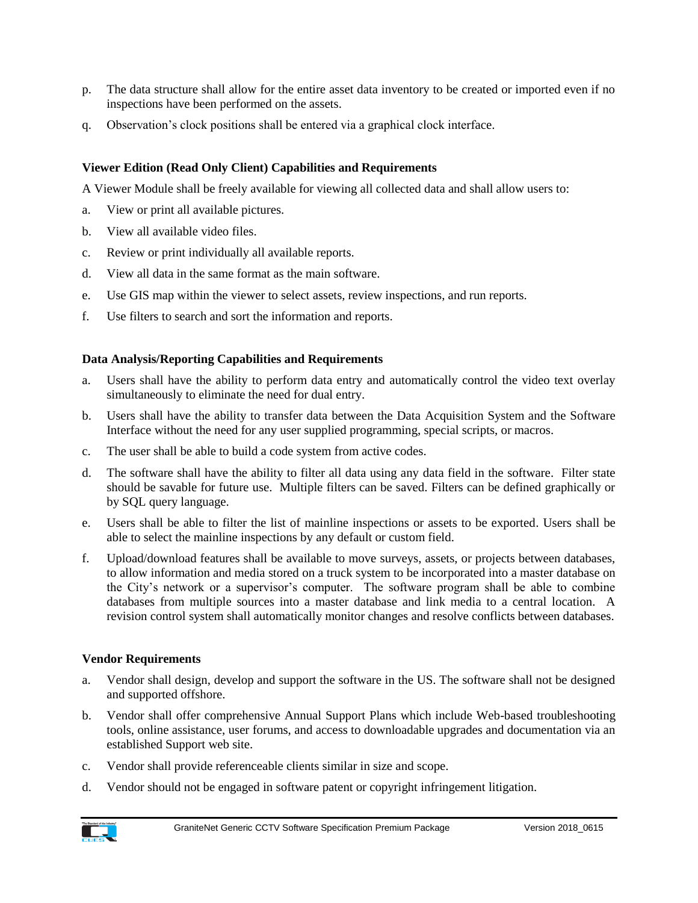- p. The data structure shall allow for the entire asset data inventory to be created or imported even if no inspections have been performed on the assets.
- q. Observation's clock positions shall be entered via a graphical clock interface.

# **Viewer Edition (Read Only Client) Capabilities and Requirements**

A Viewer Module shall be freely available for viewing all collected data and shall allow users to:

- a. View or print all available pictures.
- b. View all available video files.
- c. Review or print individually all available reports.
- d. View all data in the same format as the main software.
- e. Use GIS map within the viewer to select assets, review inspections, and run reports.
- f. Use filters to search and sort the information and reports.

### **Data Analysis/Reporting Capabilities and Requirements**

- a. Users shall have the ability to perform data entry and automatically control the video text overlay simultaneously to eliminate the need for dual entry.
- b. Users shall have the ability to transfer data between the Data Acquisition System and the Software Interface without the need for any user supplied programming, special scripts, or macros.
- c. The user shall be able to build a code system from active codes.
- d. The software shall have the ability to filter all data using any data field in the software. Filter state should be savable for future use. Multiple filters can be saved. Filters can be defined graphically or by SQL query language.
- e. Users shall be able to filter the list of mainline inspections or assets to be exported. Users shall be able to select the mainline inspections by any default or custom field.
- f. Upload/download features shall be available to move surveys, assets, or projects between databases, to allow information and media stored on a truck system to be incorporated into a master database on the City's network or a supervisor's computer. The software program shall be able to combine databases from multiple sources into a master database and link media to a central location. A revision control system shall automatically monitor changes and resolve conflicts between databases.

## **Vendor Requirements**

- a. Vendor shall design, develop and support the software in the US. The software shall not be designed and supported offshore.
- b. Vendor shall offer comprehensive Annual Support Plans which include Web-based troubleshooting tools, online assistance, user forums, and access to downloadable upgrades and documentation via an established Support web site.
- c. Vendor shall provide referenceable clients similar in size and scope.
- d. Vendor should not be engaged in software patent or copyright infringement litigation.

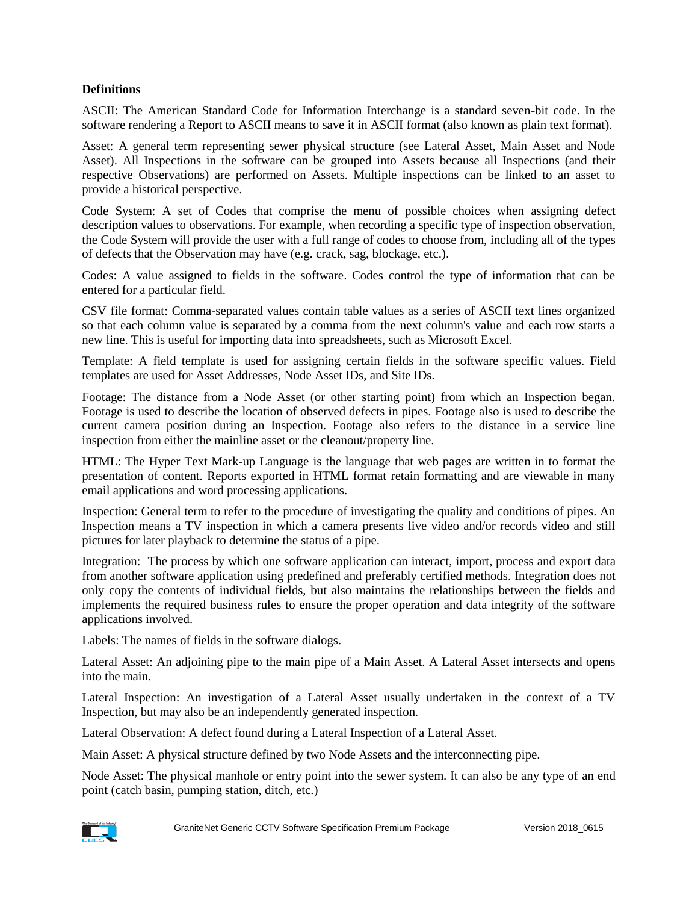### **Definitions**

ASCII: The American Standard Code for Information Interchange is a standard seven-bit code. In the software rendering a Report to ASCII means to save it in ASCII format (also known as plain text format).

Asset: A general term representing sewer physical structure (see Lateral Asset, Main Asset and Node Asset). All Inspections in the software can be grouped into Assets because all Inspections (and their respective Observations) are performed on Assets. Multiple inspections can be linked to an asset to provide a historical perspective.

Code System: A set of Codes that comprise the menu of possible choices when assigning defect description values to observations. For example, when recording a specific type of inspection observation, the Code System will provide the user with a full range of codes to choose from, including all of the types of defects that the Observation may have (e.g. crack, sag, blockage, etc.).

Codes: A value assigned to fields in the software. Codes control the type of information that can be entered for a particular field.

CSV file format: Comma-separated values contain table values as a series of ASCII text lines organized so that each column value is separated by a comma from the next column's value and each row starts a new line. This is useful for importing data into spreadsheets, such as Microsoft Excel.

Template: A field template is used for assigning certain fields in the software specific values. Field templates are used for Asset Addresses, Node Asset IDs, and Site IDs.

Footage: The distance from a Node Asset (or other starting point) from which an Inspection began. Footage is used to describe the location of observed defects in pipes. Footage also is used to describe the current camera position during an Inspection. Footage also refers to the distance in a service line inspection from either the mainline asset or the cleanout/property line.

HTML: The Hyper Text Mark-up Language is the language that web pages are written in to format the presentation of content. Reports exported in HTML format retain formatting and are viewable in many email applications and word processing applications.

Inspection: General term to refer to the procedure of investigating the quality and conditions of pipes. An Inspection means a TV inspection in which a camera presents live video and/or records video and still pictures for later playback to determine the status of a pipe.

Integration: The process by which one software application can interact, import, process and export data from another software application using predefined and preferably certified methods. Integration does not only copy the contents of individual fields, but also maintains the relationships between the fields and implements the required business rules to ensure the proper operation and data integrity of the software applications involved.

Labels: The names of fields in the software dialogs.

Lateral Asset: An adjoining pipe to the main pipe of a Main Asset. A Lateral Asset intersects and opens into the main.

Lateral Inspection: An investigation of a Lateral Asset usually undertaken in the context of a TV Inspection, but may also be an independently generated inspection.

Lateral Observation: A defect found during a Lateral Inspection of a Lateral Asset.

Main Asset: A physical structure defined by two Node Assets and the interconnecting pipe.

Node Asset: The physical manhole or entry point into the sewer system. It can also be any type of an end point (catch basin, pumping station, ditch, etc.)

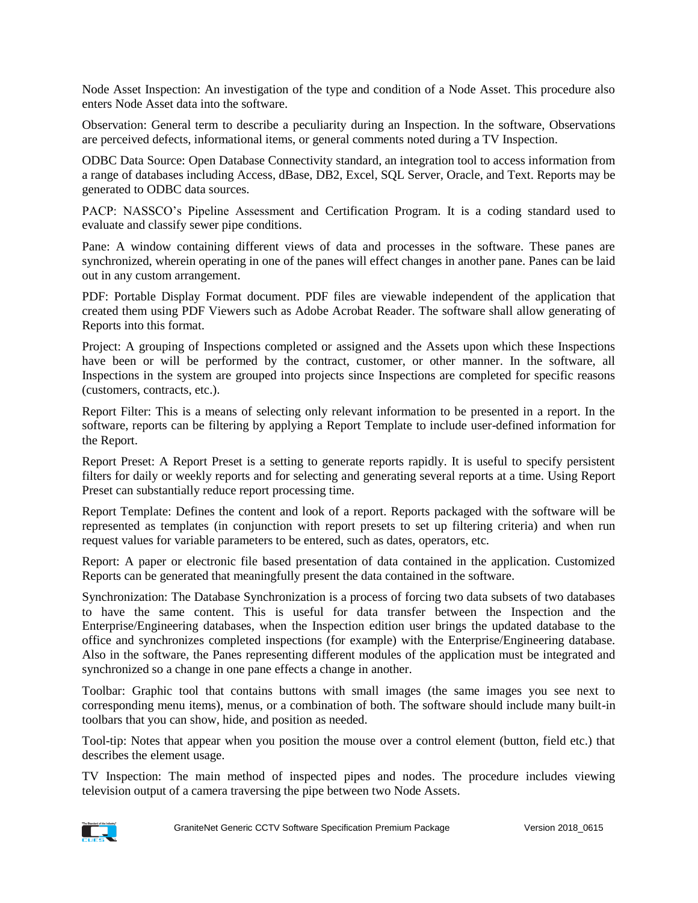Node Asset Inspection: An investigation of the type and condition of a Node Asset. This procedure also enters Node Asset data into the software.

Observation: General term to describe a peculiarity during an Inspection. In the software, Observations are perceived defects, informational items, or general comments noted during a TV Inspection.

ODBC Data Source: Open Database Connectivity standard, an integration tool to access information from a range of databases including Access, dBase, [DB2,](http://searchdatabase.techtarget.com/sDefinition/0,,sid13_gci213553,00.html) Excel, SQL Server, Oracle, and Text. Reports may be generated to ODBC data sources.

PACP: NASSCO's Pipeline Assessment and Certification Program. It is a coding standard used to evaluate and classify sewer pipe conditions.

Pane: A window containing different views of data and processes in the software. These panes are synchronized, wherein operating in one of the panes will effect changes in another pane. Panes can be laid out in any custom arrangement.

PDF: Portable Display Format document. PDF files are viewable independent of the application that created them using PDF Viewers such as Adobe Acrobat Reader. The software shall allow generating of Reports into this format.

Project: A grouping of Inspections completed or assigned and the Assets upon which these Inspections have been or will be performed by the contract, customer, or other manner. In the software, all Inspections in the system are grouped into projects since Inspections are completed for specific reasons (customers, contracts, etc.).

Report Filter: This is a means of selecting only relevant information to be presented in a report. In the software, reports can be filtering by applying a Report Template to include user-defined information for the Report.

Report Preset: A Report Preset is a setting to generate reports rapidly. It is useful to specify persistent filters for daily or weekly reports and for selecting and generating several reports at a time. Using Report Preset can substantially reduce report processing time.

Report Template: Defines the content and look of a report. Reports packaged with the software will be represented as templates (in conjunction with report presets to set up filtering criteria) and when run request values for variable parameters to be entered, such as dates, operators, etc.

Report: A paper or electronic file based presentation of data contained in the application. Customized Reports can be generated that meaningfully present the data contained in the software.

Synchronization: The Database Synchronization is a process of forcing two data subsets of two databases to have the same content. This is useful for data transfer between the Inspection and the Enterprise/Engineering databases, when the Inspection edition user brings the updated database to the office and synchronizes completed inspections (for example) with the Enterprise/Engineering database. Also in the software, the Panes representing different modules of the application must be integrated and synchronized so a change in one pane effects a change in another.

Toolbar: Graphic tool that contains buttons with small images (the same images you see next to corresponding menu items), menus, or a combination of both. The software should include many built-in toolbars that you can show, hide, and position as needed.

Tool-tip: Notes that appear when you position the mouse over a control element (button, field etc.) that describes the element usage.

TV Inspection: The main method of inspected pipes and nodes. The procedure includes viewing television output of a camera traversing the pipe between two Node Assets.